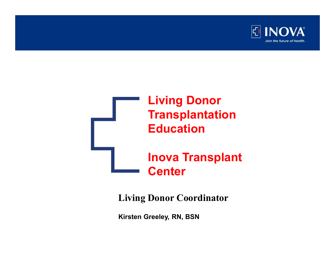

## Living Donor **Transplantation** Education Inova Transplant **Center**

Living Donor Coordinator

Kirsten Greeley, RN, BSN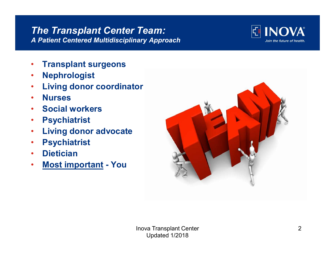#### The Transplant Center Team: A Patient Centered Multidisciplinary Approach

**INOVA** Join the future of health.

- Transplant surgeons
- Nephrologist
- Living donor coordinator
- Nurses
- Social workers
- Psychiatrist
- Living donor advocate
- Psychiatrist
- Dietician
- 

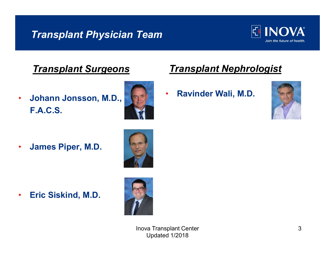## **Transplant Physician Team**  $\boxed{\mathbb{E}}$  **NOVA**



#### **Transplant Surgeons**

• Johann Jonsson, M.D., F.A.C.S.



## Transplant Nephrologist

• Ravinder Wali, M.D.



• James Piper, M.D.



• Eric Siskind, M.D.



Inova Transplant Center Updated 1/2018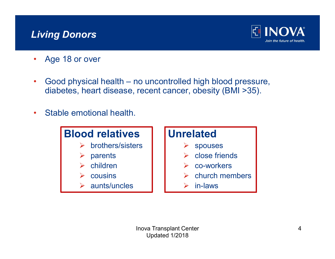## Living Donors



- Age 18 or over
- **Example 18 OF ACT SCREET COVER**<br>• Age 18 or over<br>• Good physical health no uncontrolled high blood pressure,<br>diabetes, heart disease, recent cancer, obesity (BMI >35). diabetes, heart disease, recent cancer, obesity (BMI >35).
- Stable emotional health.

## Blood relatives

- brothers/sisters
- parents
- children
- cousins
- $\blacktriangleright$  aunts/uncles

#### Unrelated

- $\triangleright$  spouses
- $\triangleright$  close friends
- $\triangleright$  co-workers
- $\triangleright$  church members
- $\triangleright$  in-laws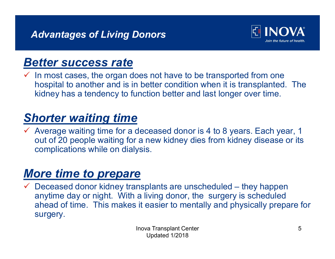

## Better success rate

 In most cases, the organ does not have to be transported from one hospital to another and is in better condition when it is transplanted. The kidney has a tendency to function better and last longer over time.

## Shorter waiting time

 $\checkmark$  Average waiting time for a deceased donor is 4 to 8 years. Each year, 1 out of 20 people waiting for a new kidney dies from kidney disease or its complications while on dialysis.

## More time to prepare

More time is transplants are unscheduled – they happen<br>  $\overline{M}$  Deceased donor kidney has a tendency to function better and last longer over time.<br>
Shorter waiting time<br>  $\overline{M}$  Average waiting time for a deceased donor anytime day or night. With a living donor, the surgery is scheduled ahead of time. This makes it easier to mentally and physically prepare for surgery.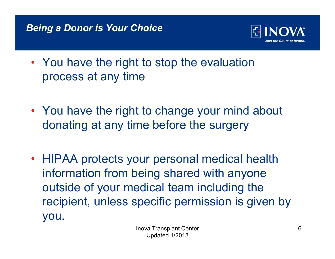#### Being a Donor is Your Choice



- You have the right to stop the evaluation process at any time
- Transplant in the control of the control of the control of the control of the control of the control of the control of the control of the control of the control of the control of the control of the control of the control o • You have the right to change your mind about donating at any time before the surgery
- HIPAA protects your personal medical health information from being shared with anyone outside of your medical team including the recipient, unless specific permission is given by you.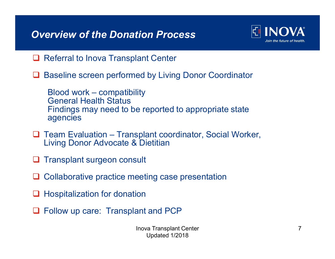## Overview of the Donation Process **Example 18 UNUVA**



- **□ Referral to Inova Transplant Center**
- **□ Baseline screen performed by Living Donor Coordinator**

**Process<br>Process<br>Referral to Inova Transplant Center<br>Baseline screen performed by Living Donor Coordin<br>Blood work – compatibility<br>General Health Status<br>Findings may need to be reported to appropriate st<br>agencies** General Health Status Findings may need to be reported to appropriate state agencies **Overview of the Donation Process<br>**  $\Box$  **Referral to Inova Transplant Center<br>**  $\Box$  **Baseline screen performed by Living Donor Coordinator<br>
Blood work – compatibility<br>
General Health Status<br>
Findings may need to be reported** 

- Living Donor Advocate & Dietitian
- **T** Transplant surgeon consult
- $\Box$  Collaborative practice meeting case presentation
- $\Box$  Hospitalization for donation
- **□ Follow up care: Transplant and PCP**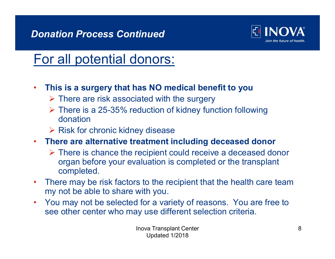## Donation Process Continued



## For all potential donors:

- This is a surgery that has NO medical benefit to you
	- $\triangleright$  There are risk associated with the surgery
	- $\triangleright$  There is a 25-35% reduction of kidney function following donation
	- $\triangleright$  Risk for chronic kidney disease
- There are alternative treatment including deceased donor
	- $\triangleright$  There is chance the recipient could receive a deceased donor organ before your evaluation is completed or the transplant completed.
- There may be risk factors to the recipient that the health care team my not be able to share with you.
- You may not be selected for a variety of reasons. You are free to see other center who may use different selection criteria.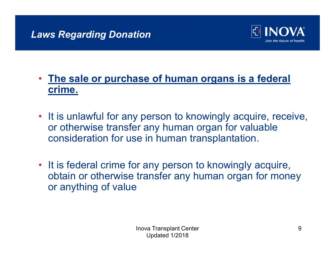

## • The sale or purchase of human organs is a federal crime.

- It is unlawful for any person to knowingly acquire, receive, or otherwise transfer any human organ for valuable consideration for use in human transplantation.
- It is federal crime for any person to knowingly acquire, obtain or otherwise transfer any human organ for money or anything of value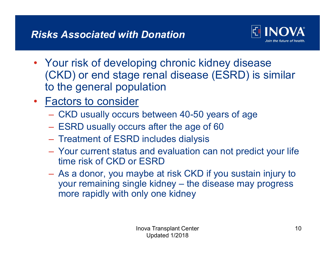

- Your risk of developing chronic kidney disease (CKD) or end stage renal disease (ESRD) is similar to the general population
- **Factors to consider** 
	- CKD usually occurs between 40-50 years of age
	- ESRD usually occurs after the age of 60
	-
	- Treatment of ESRD includes dialysis Your current status and evaluation can not predict your life time risk of CKD or ESRD
- As a donor, you maybe at risk CKD if you sustain injury to ND) of erid stage remail disease (ESRD) is similar<br>the general population<br>ctors to consider<br>CKD usually occurs between 40-50 years of age<br>ESRD usually occurs after the age of 60<br>Treatment of ESRD includes dialysis<br>Your cur more rapidly with only one kidney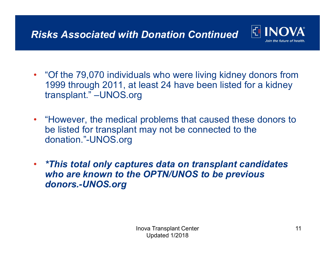

- "Of the 79,070 individuals who were living kidney donors from 1999 through 2011, at least 24 have been listed for a kidney transplant." –UNOS.org
- "However, the medical problems that caused these donors to be listed for transplant may not be connected to the donation."-UNOS.org
- \*This total only captures data on transplant candidates who are known to the OPTN/UNOS to be previous donors.-UNOS.org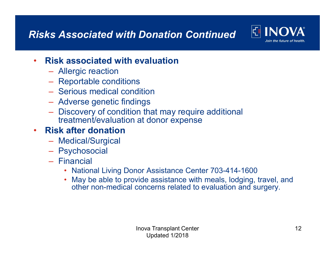## Risks Associated with Donation Continued For All Andref the future of health



#### • Risk associated with evaluation

- Allergic reaction
- Reportable conditions Serious medical condition
- 
- Adverse genetic findings
- Discovery of condition that may require additional treatment/evaluation at donor expense

#### • Risk after donation

- Medical/Surgical
- Psychosocial
- Financial
	- National Living Donor Assistance Center 703-414-1600
	- May be able to provide assistance with meals, lodging, travel, and other non-medical concerns related to evaluation and surgery.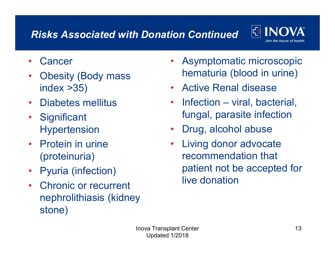## Risks Associated with Donation Continued  $\left\| \begin{matrix} \text{F} \\ \text{I} \end{matrix} \right\| \text{NQVA}$



- Cancer
- Obesity (Body mass index >35)
- 
- Significant Hypertension
- Protein in urine (proteinuria)
- Pyuria (infection)
- Chronic or recurrent nephrolithiasis (kidney stone)
- Asymptomatic microscopic hematuria (blood in urine) **ion Continued El INOVA<br>• Asymptomatic microscopic<br>• Asymptomatic microscopic<br>• Active Renal disease<br>• Infection – viral, bacterial, fungal, parasite infection<br>• Drug, alcohol abuse**
- Active Renal disease
- Diabetes mellitus Infection viral, bacterial, fungal, parasite infection
	- Drug, alcohol abuse
	- Living donor advocate recommendation that patient not be accepted for live donation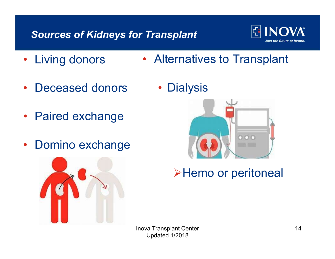## Sources of Kidneys for Transplant



- Living donors • Alternatives to Transplant
- Deceased donors •
- Paired exchange
- Domino exchange



**Dialysis** 



>Hemo or peritoneal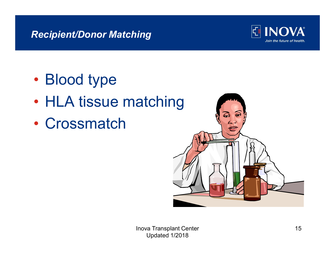## Recipient/Donor Matching



- Blood type
- HLA tissue matching
- Crossmatch

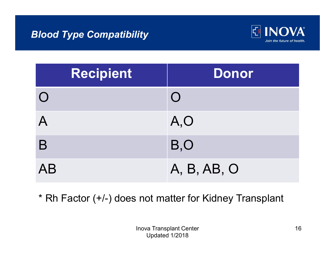#### Blood Type Compatibility



| <b>INOVA®</b><br>뎐<br>Join the future of health. |
|--------------------------------------------------|
| <b>Donor</b>                                     |
| $\bigcap$                                        |
| A, O                                             |
| B, O                                             |
| A, B, AB, O                                      |
|                                                  |

\* Rh Factor (+/-) does not matter for Kidney Transplant

Inova Transplant Center Updated 1/2018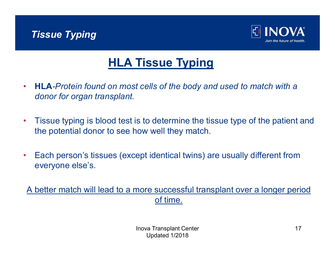



## HLA Tissue Typing

- HLA-Protein found on most cells of the body and used to match with a donor for organ transplant.
- Tissue typing is blood test is to determine the tissue type of the patient and the potential donor to see how well they match.
- Each person's tissues (except identical twins) are usually different from everyone else's.

A better match will lead to a more successful transplant over a longer period of time.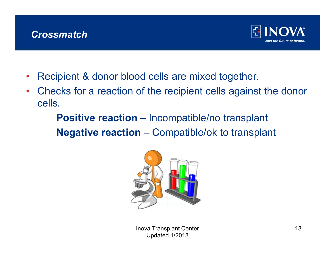#### **Crossmatch**



- Recipient & donor blood cells are mixed together.
- Checks for a reaction of the recipient cells against the donor cells. Similar Compatible are mixed together.<br>
Figure always of the properties are mixed together.<br>
Similar Compatible and Compatible are mixed together.<br>
Negative reaction – Incompatible/ok to transplant<br>
Negative reaction – Co

For INCOVA<br>pipent & donor blood cells are mixed together.<br>cks for a reaction of the recipient cells against the dono<br>i.<br>**Positive reaction** – Incompatible/no transplant<br>**Negative reaction** – Compatible/ok to transplant



Inova Transplant Center 18 Updated 1/2018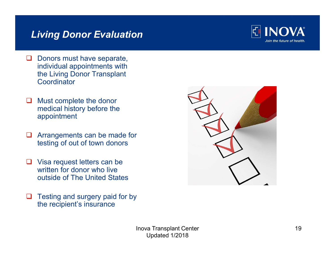## Living Donor Evaluation



- Donors must have separate, individual appointments with the Living Donor Transplant **Coordinator**
- $\Box$  Must complete the donor medical history before the appointment
- **Q** Arrangements can be made for testing of out of town donors
- **□** Visa request letters can be written for donor who live outside of The United States
- $\Box$  Testing and surgery paid for by the recipient's insurance

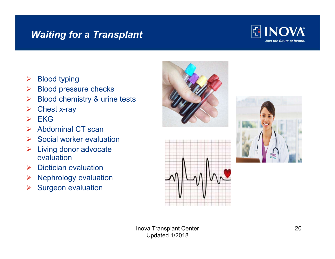#### Waiting for a Transplant



- $\triangleright$  Blood typing
- $\triangleright$  Blood pressure checks
- $\triangleright$  Blood chemistry & urine tests
- $\triangleright$  Chest x-ray
- $\triangleright$  EKG
- $\triangleright$  Abdominal CT scan
- $\triangleright$  Social worker evaluation
- $\triangleright$  Living donor advocate evaluation
- $\triangleright$  Dietician evaluation
- $\triangleright$  Nephrology evaluation
- $\triangleright$  Surgeon evaluation







Inova Transplant Center Updated 1/2018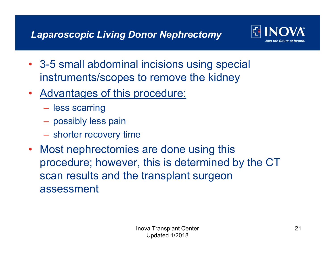

- 3-5 small abdominal incisions using special instruments/scopes to remove the kidney
- Advantages of this procedure:
	- less scarring
	-
	- possibly less pain shorter recovery time
- Most nephrectomies are done using this procedure; however, this is determined by the CT scan results and the transplant surgeon assessment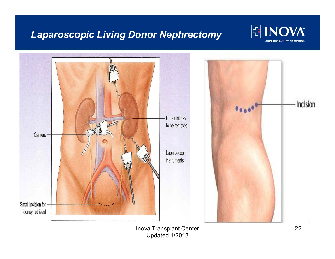## Laparoscopic Living Donor Nephrectomy  $\mathbb{E}[\text{INDVA}]$





Inova Transplant Center 22 Updated 1/2018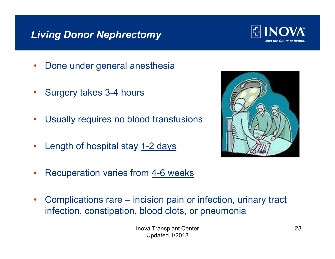## Living Donor Nephrectomy



- Done under general anesthesia
- Surgery takes 3-4 hours
- Usually requires no blood transfusions
- Length of hospital stay 1-2 days



- Recuperation varies from 4-6 weeks
- infection, constipation, blood clots, or pneumonia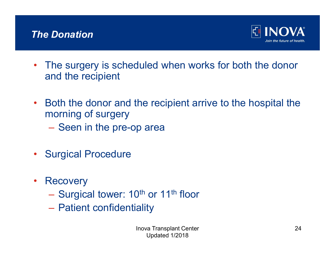

- The surgery is scheduled when works for both the donor and the recipient
- Both the donor and the recipient arrive to the hospital the morning of surgery
	- Seen in the pre-op area
- Surgical Procedure
- Recovery
	- Surgical tower: 10<sup>th</sup> or 11<sup>th</sup> floor<br>– Patient confidentiality
	-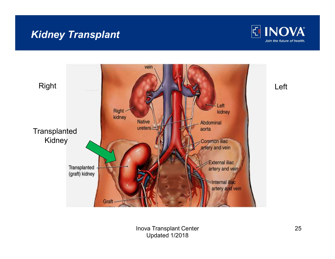## Kidney Transplant





Inova Transplant Center 25 Updated 1/2018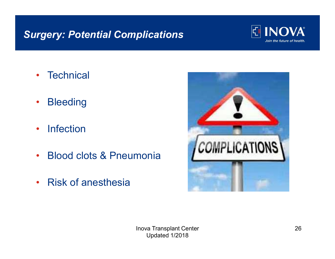## Surgery: Potential Complications **Surgery:** Potential Complications



- Technical
- Bleeding
- Infection
- 
- Risk of anesthesia

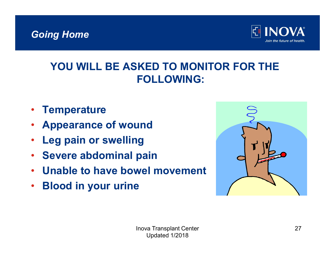## Going Home



## YOU WILL BE ASKED TO MONITOR FOR THE FOLLOWING:

- **Temperature**
- Appearance of wound
- Leg pain or swelling
- Severe abdominal pain
- Unable to have bowel movement
- Blood in your urine

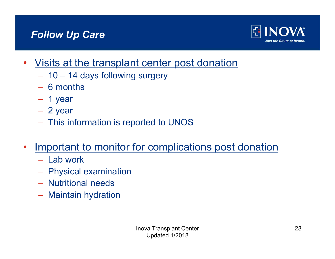## Follow Up Care



- Visits at the transplant center post donation – 10 – 14 days following surgery<br>
– 10 – 14 days following surgery<br>
– 6 months<br>
– 1 year<br>
– 2 year<br>
– This information is reported to UNOS
	-
	-
	-
	-
	-
- Important to monitor for complications post donation
	-
	- Lab work Physical examination
	- Nutritional needs
	- Maintain hydration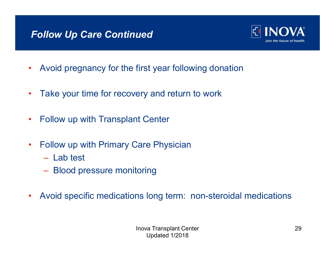## Follow Up Care Continued



- Avoid pregnancy for the first year following donation
- Take your time for recovery and return to work
- Follow up with Transplant Center
- Follow up with Primary Care Physician
	-
	- Lab test– Blood pressure monitoring
- Avoid specific medications long term: non-steroidal medications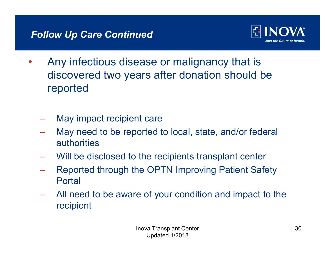

- Any infectious disease or malignancy that is discovered two years after donation should be reported
	-
	- May impact recipient care<br>May need to be reported to local, state, and/or federal authorities
	- Will be disclosed to the recipients transplant center
	- Reported through the OPTN Improving Patient Safety Portal
	- All need to be aware of your condition and impact to the recipient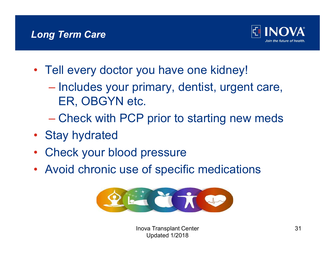

- 
- Tell every doctor you have one kidney!<br>- Includes your primary, dentist, urgent care, ER, OBGYN etc.<br>- Check with PCP prior to starting new meds
	-
- Stay hydrated
- Check your blood pressure
- Avoid chronic use of specific medications



Inova Transplant Center 31 Updated 1/2018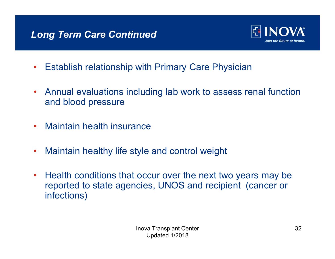

- Establish relationship with Primary Care Physician
- Annual evaluations including lab work to assess renal function and blood pressure
- Maintain health insurance
- Maintain healthy life style and control weight
- Health conditions that occur over the next two years may be reported to state agencies, UNOS and recipient (cancer or infections)